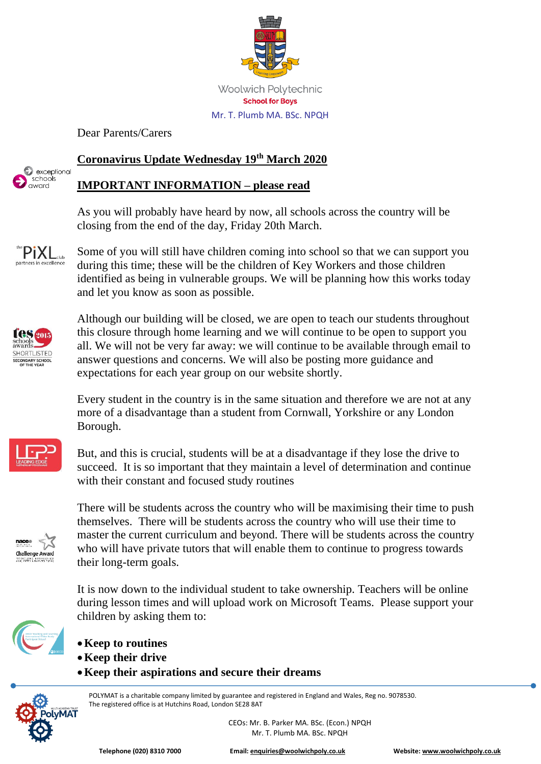

Dear Parents/Carers

## **Coronavirus Update Wednesday 19th March 2020**

## **IMPORTANT INFORMATION – please read**

As you will probably have heard by now, all schools across the country will be closing from the end of the day, Friday 20th March.

Some of you will still have children coming into school so that we can support you during this time; these will be the children of Key Workers and those children identified as being in vulnerable groups. We will be planning how this works today and let you know as soon as possible.



 $\Theta$  exceptional schools award

> Although our building will be closed, we are open to teach our students throughout this closure through home learning and we will continue to be open to support you all. We will not be very far away: we will continue to be available through email to answer questions and concerns. We will also be posting more guidance and expectations for each year group on our website shortly.

> Every student in the country is in the same situation and therefore we are not at any more of a disadvantage than a student from Cornwall, Yorkshire or any London Borough.



But, and this is crucial, students will be at a disadvantage if they lose the drive to succeed. It is so important that they maintain a level of determination and continue with their constant and focused study routines



There will be students across the country who will be maximising their time to push themselves. There will be students across the country who will use their time to master the current curriculum and beyond. There will be students across the country who will have private tutors that will enable them to continue to progress towards their long-term goals.

It is now down to the individual student to take ownership. Teachers will be online during lesson times and will upload work on Microsoft Teams. Please support your children by asking them to:

- 
- •**Keep to routines**
- •**Keep their drive**
- •**Keep their aspirations and secure their dreams**



POLYMAT is a charitable company limited by guarantee and registered in England and Wales, Reg no. 9078530. The registered office is at Hutchins Road, London SE28 8AT

> CEOs: Mr. B. Parker MA. BSc. (Econ.) NPQH Mr. T. Plumb MA. BSc. NPQH